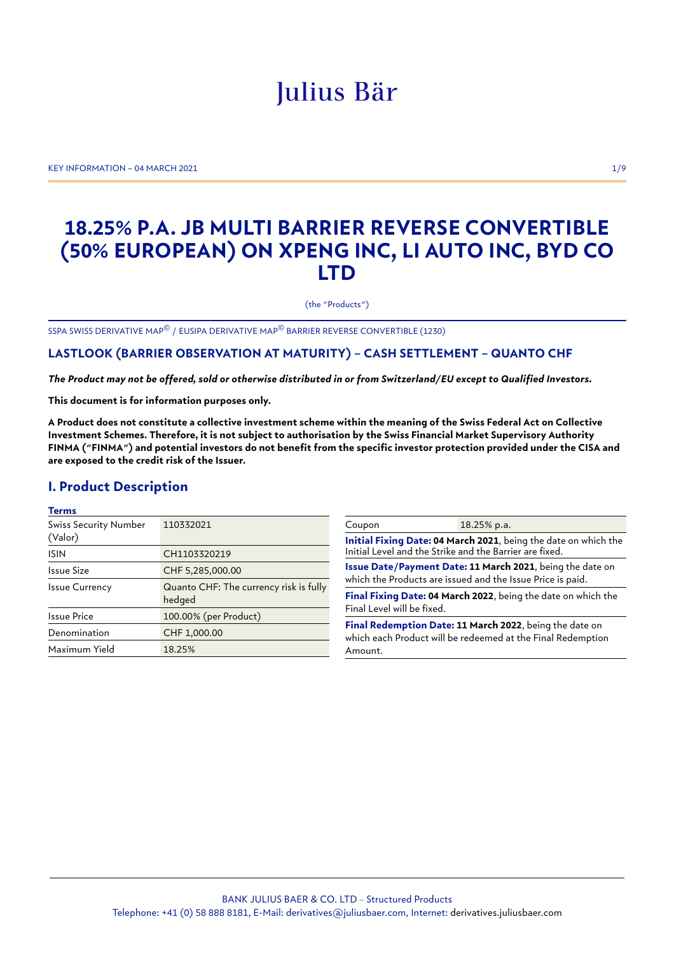# Julius Bär

KEY INFORMATION – 04 MARCH 2021 1/9

## **18.25% P.A. JB MULTI BARRIER REVERSE CONVERTIBLE (50% EUROPEAN) ON XPENG INC, LI AUTO INC, BYD CO LTD**

(the "Products")

SSPA SWISS DERIVATIVE MAP© / EUSIPA DERIVATIVE MAP© BARRIER REVERSE CONVERTIBLE (1230)

## **LASTLOOK (BARRIER OBSERVATION AT MATURITY) – CASH SETTLEMENT – QUANTO CHF**

*The Product may not be offered, sold or otherwise distributed in or from Switzerland/EU except to Qualified Investors.*

**This document is for information purposes only.**

**A Product does not constitute a collective investment scheme within the meaning of the Swiss Federal Act on Collective Investment Schemes. Therefore, it is not subject to authorisation by the Swiss Financial Market Supervisory Authority FINMA ("FINMA") and potential investors do not benefit from the specific investor protection provided under the CISA and are exposed to the credit risk of the Issuer.**

## **I. Product Description**

#### **Terms**

| <b>Swiss Security Number</b><br>(Valor) | 110332021                                        |
|-----------------------------------------|--------------------------------------------------|
| <b>ISIN</b>                             | CH1103320219                                     |
| Issue Size                              | CHF 5,285,000.00                                 |
| <b>Issue Currency</b>                   | Quanto CHF: The currency risk is fully<br>hedged |
| Issue Price                             | 100.00% (per Product)                            |
| Denomination                            | CHF 1,000.00                                     |
| Maximum Yield                           | 18.25%                                           |

| Coupon                                                                                                                            | 18.25% p.a. |
|-----------------------------------------------------------------------------------------------------------------------------------|-------------|
| Initial Fixing Date: 04 March 2021, being the date on which the<br>Initial Level and the Strike and the Barrier are fixed.        |             |
| Issue Date/Payment Date: 11 March 2021, being the date on<br>which the Products are issued and the Issue Price is paid.           |             |
| Final Fixing Date: 04 March 2022, being the date on which the<br>Final Level will be fixed.                                       |             |
| Final Redemption Date: 11 March 2022, being the date on<br>which each Product will be redeemed at the Final Redemption<br>Amount. |             |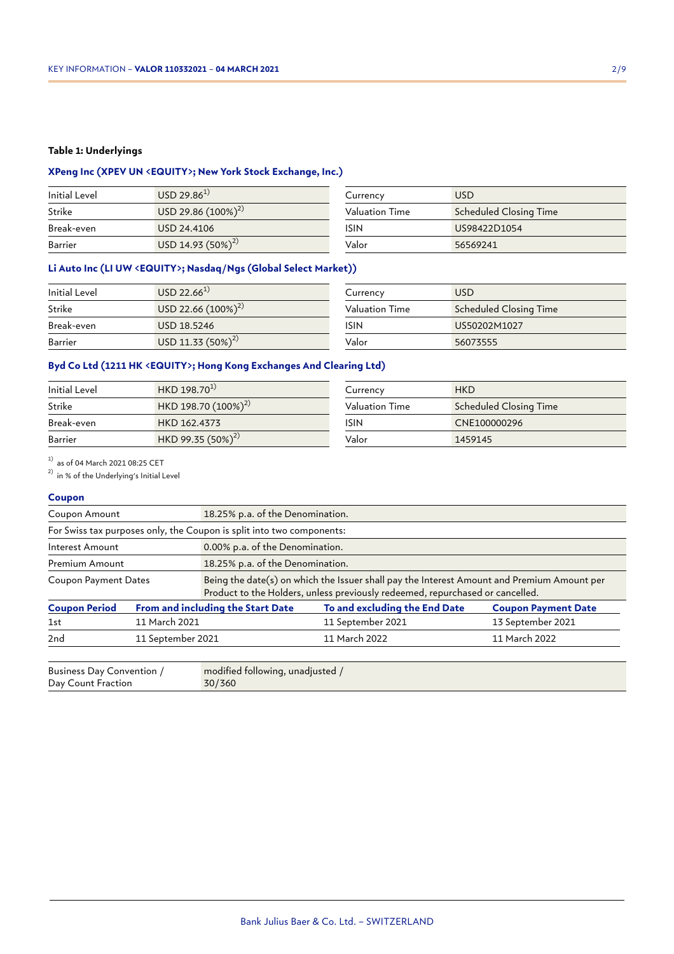#### **Table 1: Underlyings**

## **XPeng Inc (XPEV UN <EQUITY>; New York Stock Exchange, Inc.)**

| Initial Level | $USD 29.86^{1}$         | Currency       | <b>USD</b>             |
|---------------|-------------------------|----------------|------------------------|
| Strike        | USD 29.86 $(100\%)^{2}$ | Valuation Time | Scheduled Closing Time |
| Break-even    | USD 24.4106             | ISIN           | US98422D1054           |
| Barrier       | USD 14.93 $(50\%)^{2}$  | Valor          | 56569241               |

## **Li Auto Inc (LI UW <EQUITY>; Nasdaq/Ngs (Global Select Market))**

| Initial Level | $USD 22.66^{1}$         | Currency       | <b>USD</b>                    |
|---------------|-------------------------|----------------|-------------------------------|
| Strike        | USD 22.66 $(100\%)^{2}$ | Valuation Time | <b>Scheduled Closing Time</b> |
| Break-even    | USD 18.5246             | ISIN           | US50202M1027                  |
| Barrier       | USD 11.33 $(50\%)^{2}$  | Valor          | 56073555                      |

## **Byd Co Ltd (1211 HK <EQUITY>; Hong Kong Exchanges And Clearing Ltd)**

| Initial Level | $HKD 198.70^{1}$         | Currency       | <b>HKD</b>             |
|---------------|--------------------------|----------------|------------------------|
| Strike        | HKD 198.70 $(100\%)^{2}$ | Valuation Time | Scheduled Closing Time |
| Break-even    | HKD 162.4373             | ISIN           | CNE100000296           |
| Barrier       | HKD 99.35 $(50\%)^{2}$   | Valor          | 1459145                |

 $^{1)}$  as of 04 March 2021 08:25 CET

2) in % of the Underlying's Initial Level

#### **Coupon**

| Coupon Amount        |                   | 18.25% p.a. of the Denomination.                                                                                                                                            |                               |                            |
|----------------------|-------------------|-----------------------------------------------------------------------------------------------------------------------------------------------------------------------------|-------------------------------|----------------------------|
|                      |                   | For Swiss tax purposes only, the Coupon is split into two components:                                                                                                       |                               |                            |
| Interest Amount      |                   | 0.00% p.a. of the Denomination.                                                                                                                                             |                               |                            |
| Premium Amount       |                   | 18.25% p.a. of the Denomination.                                                                                                                                            |                               |                            |
| Coupon Payment Dates |                   | Being the date(s) on which the Issuer shall pay the Interest Amount and Premium Amount per<br>Product to the Holders, unless previously redeemed, repurchased or cancelled. |                               |                            |
| <b>Coupon Period</b> |                   | From and including the Start Date                                                                                                                                           | To and excluding the End Date | <b>Coupon Payment Date</b> |
| 1st                  | 11 March 2021     |                                                                                                                                                                             | 11 September 2021             | 13 September 2021          |
| 2 <sub>nd</sub>      | 11 September 2021 |                                                                                                                                                                             | 11 March 2022                 | 11 March 2022              |
|                      |                   |                                                                                                                                                                             |                               |                            |

| Business Day Convention / | modified following, unadjusted / |
|---------------------------|----------------------------------|
| Day Count Fraction        | 30/360                           |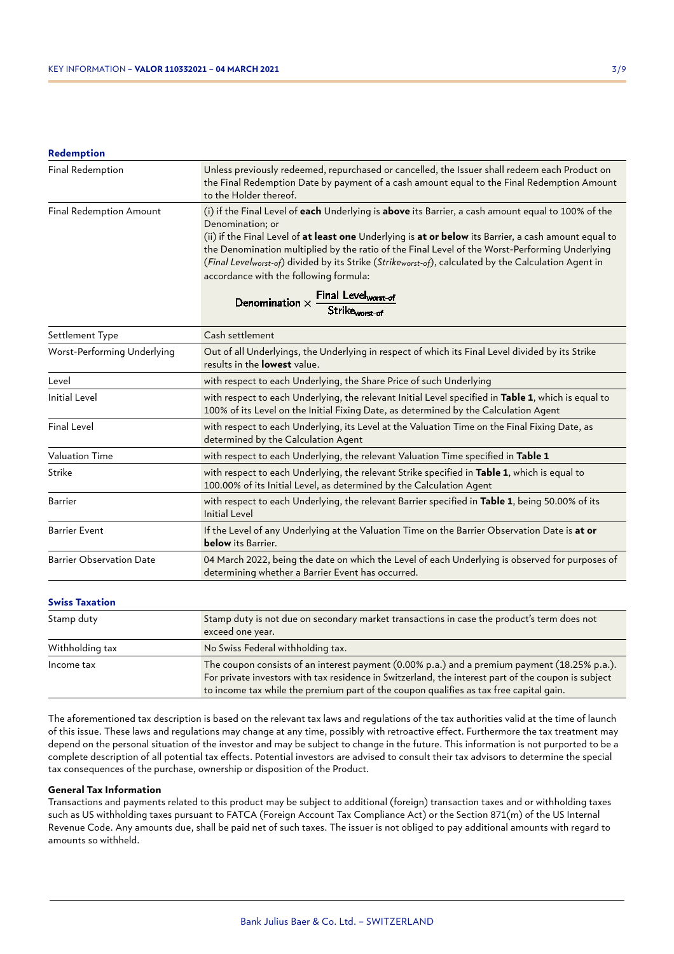#### **Redemption**

| <b>Final Redemption</b>        | Unless previously redeemed, repurchased or cancelled, the Issuer shall redeem each Product on<br>the Final Redemption Date by payment of a cash amount equal to the Final Redemption Amount<br>to the Holder thereof.                                                                                                                                                                                                                                                               |
|--------------------------------|-------------------------------------------------------------------------------------------------------------------------------------------------------------------------------------------------------------------------------------------------------------------------------------------------------------------------------------------------------------------------------------------------------------------------------------------------------------------------------------|
| <b>Final Redemption Amount</b> | (i) if the Final Level of each Underlying is above its Barrier, a cash amount equal to 100% of the<br>Denomination; or<br>(ii) if the Final Level of at least one Underlying is at or below its Barrier, a cash amount equal to<br>the Denomination multiplied by the ratio of the Final Level of the Worst-Performing Underlying<br>(Final Levelworst-of) divided by its Strike (Strikeworst-of), calculated by the Calculation Agent in<br>accordance with the following formula: |
|                                | Denomination $\times$ Final Level <sub>worst-of</sub>                                                                                                                                                                                                                                                                                                                                                                                                                               |

| enomination $\times$ | <b>FIIIdI</b> Level <sub>worst-of</sub> |
|----------------------|-----------------------------------------|
|                      | Strike <sub>worst-of</sub>              |

| Settlement Type                 | Cash settlement                                                                                                                                                                                                                                                                               |  |
|---------------------------------|-----------------------------------------------------------------------------------------------------------------------------------------------------------------------------------------------------------------------------------------------------------------------------------------------|--|
| Worst-Performing Underlying     | Out of all Underlyings, the Underlying in respect of which its Final Level divided by its Strike<br>results in the <b>lowest</b> value.                                                                                                                                                       |  |
| Level                           | with respect to each Underlying, the Share Price of such Underlying                                                                                                                                                                                                                           |  |
| <b>Initial Level</b>            | with respect to each Underlying, the relevant Initial Level specified in Table 1, which is equal to<br>100% of its Level on the Initial Fixing Date, as determined by the Calculation Agent                                                                                                   |  |
| <b>Final Level</b>              | with respect to each Underlying, its Level at the Valuation Time on the Final Fixing Date, as<br>determined by the Calculation Agent                                                                                                                                                          |  |
| <b>Valuation Time</b>           | with respect to each Underlying, the relevant Valuation Time specified in Table 1                                                                                                                                                                                                             |  |
| Strike                          | with respect to each Underlying, the relevant Strike specified in Table 1, which is equal to<br>100.00% of its Initial Level, as determined by the Calculation Agent                                                                                                                          |  |
| <b>Barrier</b>                  | with respect to each Underlying, the relevant Barrier specified in Table 1, being 50.00% of its<br><b>Initial Level</b>                                                                                                                                                                       |  |
| <b>Barrier Event</b>            | If the Level of any Underlying at the Valuation Time on the Barrier Observation Date is at or<br><b>below</b> its Barrier.                                                                                                                                                                    |  |
| <b>Barrier Observation Date</b> | 04 March 2022, being the date on which the Level of each Underlying is observed for purposes of<br>determining whether a Barrier Event has occurred.                                                                                                                                          |  |
| <b>Swiss Taxation</b>           |                                                                                                                                                                                                                                                                                               |  |
| Stamp duty                      | Stamp duty is not due on secondary market transactions in case the product's term does not<br>exceed one year.                                                                                                                                                                                |  |
| Withholding tax                 | No Swiss Federal withholding tax.                                                                                                                                                                                                                                                             |  |
| Income tax                      | The coupon consists of an interest payment (0.00% p.a.) and a premium payment (18.25% p.a.).<br>For private investors with tax residence in Switzerland, the interest part of the coupon is subject<br>to income tax while the premium part of the coupon qualifies as tax free capital gain. |  |

The aforementioned tax description is based on the relevant tax laws and regulations of the tax authorities valid at the time of launch of this issue. These laws and regulations may change at any time, possibly with retroactive effect. Furthermore the tax treatment may depend on the personal situation of the investor and may be subject to change in the future. This information is not purported to be a complete description of all potential tax effects. Potential investors are advised to consult their tax advisors to determine the special tax consequences of the purchase, ownership or disposition of the Product.

#### **General Tax Information**

Transactions and payments related to this product may be subject to additional (foreign) transaction taxes and or withholding taxes such as US withholding taxes pursuant to FATCA (Foreign Account Tax Compliance Act) or the Section 871(m) of the US Internal Revenue Code. Any amounts due, shall be paid net of such taxes. The issuer is not obliged to pay additional amounts with regard to amounts so withheld.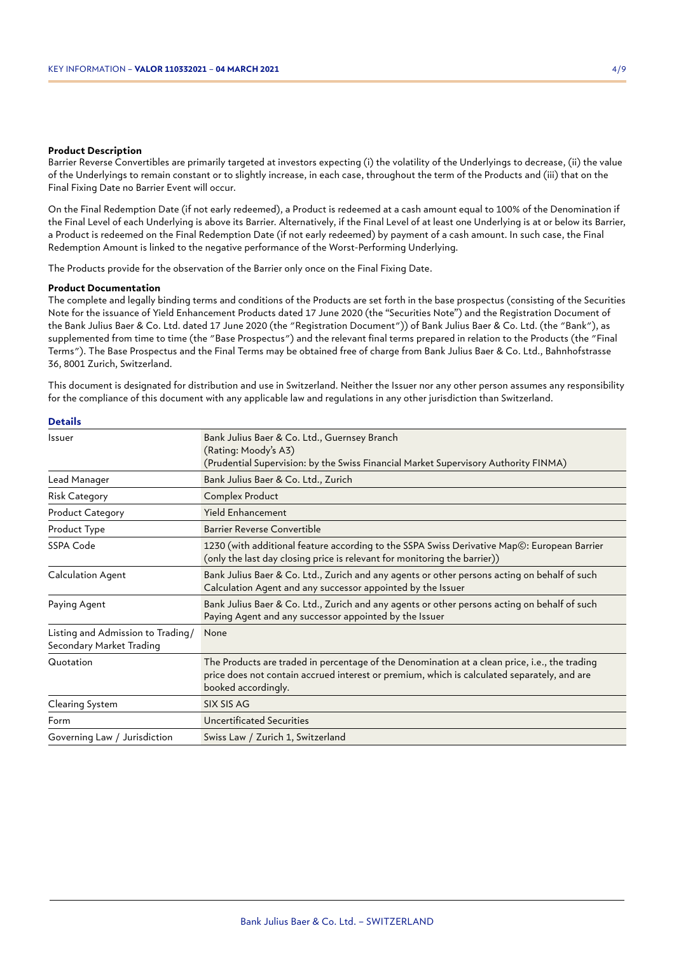#### **Product Description**

Barrier Reverse Convertibles are primarily targeted at investors expecting (i) the volatility of the Underlyings to decrease, (ii) the value of the Underlyings to remain constant or to slightly increase, in each case, throughout the term of the Products and (iii) that on the Final Fixing Date no Barrier Event will occur.

On the Final Redemption Date (if not early redeemed), a Product is redeemed at a cash amount equal to 100% of the Denomination if the Final Level of each Underlying is above its Barrier. Alternatively, if the Final Level of at least one Underlying is at or below its Barrier, a Product is redeemed on the Final Redemption Date (if not early redeemed) by payment of a cash amount. In such case, the Final Redemption Amount is linked to the negative performance of the Worst-Performing Underlying.

The Products provide for the observation of the Barrier only once on the Final Fixing Date.

#### **Product Documentation**

The complete and legally binding terms and conditions of the Products are set forth in the base prospectus (consisting of the Securities Note for the issuance of Yield Enhancement Products dated 17 June 2020 (the "Securities Note") and the Registration Document of the Bank Julius Baer & Co. Ltd. dated 17 June 2020 (the "Registration Document")) of Bank Julius Baer & Co. Ltd. (the "Bank"), as supplemented from time to time (the "Base Prospectus") and the relevant final terms prepared in relation to the Products (the "Final Terms"). The Base Prospectus and the Final Terms may be obtained free of charge from Bank Julius Baer & Co. Ltd., Bahnhofstrasse 36, 8001 Zurich, Switzerland.

This document is designated for distribution and use in Switzerland. Neither the Issuer nor any other person assumes any responsibility for the compliance of this document with any applicable law and regulations in any other jurisdiction than Switzerland.

| <b>Issuer</b>                                                 | Bank Julius Baer & Co. Ltd., Guernsey Branch<br>(Rating: Moody's A3)<br>(Prudential Supervision: by the Swiss Financial Market Supervisory Authority FINMA)                                                         |
|---------------------------------------------------------------|---------------------------------------------------------------------------------------------------------------------------------------------------------------------------------------------------------------------|
| Lead Manager                                                  | Bank Julius Baer & Co. Ltd., Zurich                                                                                                                                                                                 |
| <b>Risk Category</b>                                          | Complex Product                                                                                                                                                                                                     |
| <b>Product Category</b>                                       | <b>Yield Enhancement</b>                                                                                                                                                                                            |
| Product Type                                                  | Barrier Reverse Convertible                                                                                                                                                                                         |
| SSPA Code                                                     | 1230 (with additional feature according to the SSPA Swiss Derivative Map©: European Barrier<br>(only the last day closing price is relevant for monitoring the barrier))                                            |
| Calculation Agent                                             | Bank Julius Baer & Co. Ltd., Zurich and any agents or other persons acting on behalf of such<br>Calculation Agent and any successor appointed by the Issuer                                                         |
| Paying Agent                                                  | Bank Julius Baer & Co. Ltd., Zurich and any agents or other persons acting on behalf of such<br>Paying Agent and any successor appointed by the Issuer                                                              |
| Listing and Admission to Trading/<br>Secondary Market Trading | None                                                                                                                                                                                                                |
| Quotation                                                     | The Products are traded in percentage of the Denomination at a clean price, i.e., the trading<br>price does not contain accrued interest or premium, which is calculated separately, and are<br>booked accordingly. |
| Clearing System                                               | SIX SIS AG                                                                                                                                                                                                          |
| Form                                                          | <b>Uncertificated Securities</b>                                                                                                                                                                                    |
| Governing Law / Jurisdiction                                  | Swiss Law / Zurich 1, Switzerland                                                                                                                                                                                   |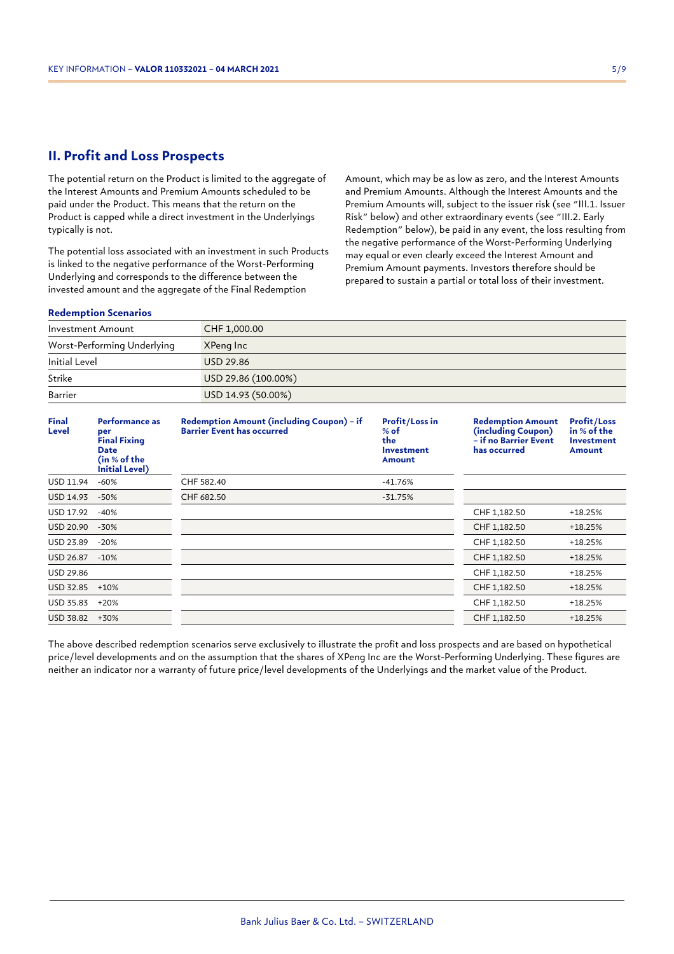## **II. Profit and Loss Prospects**

The potential return on the Product is limited to the aggregate of the Interest Amounts and Premium Amounts scheduled to be paid under the Product. This means that the return on the Product is capped while a direct investment in the Underlyings typically is not.

The potential loss associated with an investment in such Products is linked to the negative performance of the Worst-Performing Underlying and corresponds to the difference between the invested amount and the aggregate of the Final Redemption

Amount, which may be as low as zero, and the Interest Amounts and Premium Amounts. Although the Interest Amounts and the Premium Amounts will, subject to the issuer risk (see "III.1. Issuer Risk" below) and other extraordinary events (see "III.2. Early Redemption" below), be paid in any event, the loss resulting from the negative performance of the Worst-Performing Underlying may equal or even clearly exceed the Interest Amount and Premium Amount payments. Investors therefore should be prepared to sustain a partial or total loss of their investment.

#### **Redemption Scenarios**

| Investment Amount           | CHF 1,000.00        |
|-----------------------------|---------------------|
| Worst-Performing Underlying | XPeng Inc           |
| Initial Level               | USD 29.86           |
| Strike                      | USD 29.86 (100.00%) |
| Barrier                     | USD 14.93 (50.00%)  |

| <b>Final</b><br>Level | Performance as<br>per<br><b>Final Fixing</b><br><b>Date</b><br>(in % of the<br><b>Initial Level)</b> | Redemption Amount (including Coupon) - if<br><b>Barrier Event has occurred</b> | Profit/Loss in<br>$%$ of<br>the<br><b>Investment</b><br>Amount | <b>Redemption Amount</b><br>(including Coupon)<br>- if no Barrier Event<br>has occurred | <b>Profit/Loss</b><br>in % of the<br><b>Investment</b><br><b>Amount</b> |
|-----------------------|------------------------------------------------------------------------------------------------------|--------------------------------------------------------------------------------|----------------------------------------------------------------|-----------------------------------------------------------------------------------------|-------------------------------------------------------------------------|
| USD 11.94             | $-60%$                                                                                               | CHF 582.40                                                                     | $-41.76%$                                                      |                                                                                         |                                                                         |
| USD 14.93             | $-50%$                                                                                               | CHF 682.50                                                                     | $-31.75%$                                                      |                                                                                         |                                                                         |
| USD 17.92             | $-40%$                                                                                               |                                                                                |                                                                | CHF 1,182.50                                                                            | +18.25%                                                                 |
| USD 20.90             | $-30%$                                                                                               |                                                                                |                                                                | CHF 1,182.50                                                                            | $+18.25%$                                                               |
| USD 23.89             | $-20%$                                                                                               |                                                                                |                                                                | CHF 1,182.50                                                                            | $+18.25%$                                                               |
| USD 26.87             | $-10%$                                                                                               |                                                                                |                                                                | CHF 1,182.50                                                                            | $+18.25%$                                                               |
| USD 29.86             |                                                                                                      |                                                                                |                                                                | CHF 1,182.50                                                                            | +18.25%                                                                 |
| <b>USD 32.85</b>      | $+10%$                                                                                               |                                                                                |                                                                | CHF 1,182.50                                                                            | +18.25%                                                                 |
| USD 35.83             | $+20%$                                                                                               |                                                                                |                                                                | CHF 1,182.50                                                                            | +18.25%                                                                 |
| USD 38.82             | $+30%$                                                                                               |                                                                                |                                                                | CHF 1,182.50                                                                            | $+18.25%$                                                               |

The above described redemption scenarios serve exclusively to illustrate the profit and loss prospects and are based on hypothetical price/level developments and on the assumption that the shares of XPeng Inc are the Worst-Performing Underlying. These figures are neither an indicator nor a warranty of future price/level developments of the Underlyings and the market value of the Product.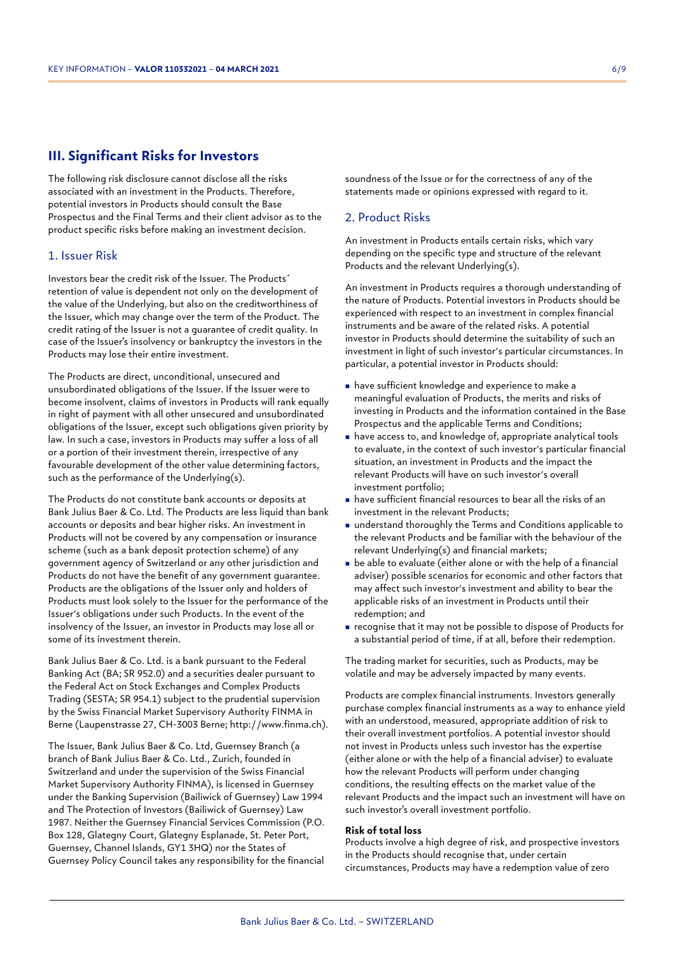## **III. Significant Risks for Investors**

The following risk disclosure cannot disclose all the risks associated with an investment in the Products. Therefore, potential investors in Products should consult the Base Prospectus and the Final Terms and their client advisor as to the product specific risks before making an investment decision.

#### 1. Issuer Risk

Investors bear the credit risk of the Issuer. The Products´ retention of value is dependent not only on the development of the value of the Underlying, but also on the creditworthiness of the Issuer, which may change over the term of the Product. The credit rating of the Issuer is not a guarantee of credit quality. In case of the Issuer's insolvency or bankruptcy the investors in the Products may lose their entire investment.

The Products are direct, unconditional, unsecured and unsubordinated obligations of the Issuer. If the Issuer were to become insolvent, claims of investors in Products will rank equally in right of payment with all other unsecured and unsubordinated obligations of the Issuer, except such obligations given priority by law. In such a case, investors in Products may suffer a loss of all or a portion of their investment therein, irrespective of any favourable development of the other value determining factors, such as the performance of the Underlying(s).

The Products do not constitute bank accounts or deposits at Bank Julius Baer & Co. Ltd. The Products are less liquid than bank accounts or deposits and bear higher risks. An investment in Products will not be covered by any compensation or insurance scheme (such as a bank deposit protection scheme) of any government agency of Switzerland or any other jurisdiction and Products do not have the benefit of any government guarantee. Products are the obligations of the Issuer only and holders of Products must look solely to the Issuer for the performance of the Issuer's obligations under such Products. In the event of the insolvency of the Issuer, an investor in Products may lose all or some of its investment therein.

Bank Julius Baer & Co. Ltd. is a bank pursuant to the Federal Banking Act (BA; SR 952.0) and a securities dealer pursuant to the Federal Act on Stock Exchanges and Complex Products Trading (SESTA; SR 954.1) subject to the prudential supervision by the Swiss Financial Market Supervisory Authority FINMA in Berne (Laupenstrasse 27, CH-3003 Berne; http://www.finma.ch).

The Issuer, Bank Julius Baer & Co. Ltd, Guernsey Branch (a branch of Bank Julius Baer & Co. Ltd., Zurich, founded in Switzerland and under the supervision of the Swiss Financial Market Supervisory Authority FINMA), is licensed in Guernsey under the Banking Supervision (Bailiwick of Guernsey) Law 1994 and The Protection of Investors (Bailiwick of Guernsey) Law 1987. Neither the Guernsey Financial Services Commission (P.O. Box 128, Glategny Court, Glategny Esplanade, St. Peter Port, Guernsey, Channel Islands, GY1 3HQ) nor the States of Guernsey Policy Council takes any responsibility for the financial soundness of the Issue or for the correctness of any of the statements made or opinions expressed with regard to it.

## 2. Product Risks

An investment in Products entails certain risks, which vary depending on the specific type and structure of the relevant Products and the relevant Underlying(s).

An investment in Products requires a thorough understanding of the nature of Products. Potential investors in Products should be experienced with respect to an investment in complex financial instruments and be aware of the related risks. A potential investor in Products should determine the suitability of such an investment in light of such investor's particular circumstances. In particular, a potential investor in Products should:

- <sup>n</sup> have sufficient knowledge and experience to make a meaningful evaluation of Products, the merits and risks of investing in Products and the information contained in the Base Prospectus and the applicable Terms and Conditions;
- <sup>n</sup> have access to, and knowledge of, appropriate analytical tools to evaluate, in the context of such investor's particular financial situation, an investment in Products and the impact the relevant Products will have on such investor's overall investment portfolio;
- <sup>n</sup> have sufficient financial resources to bear all the risks of an investment in the relevant Products;
- understand thoroughly the Terms and Conditions applicable to the relevant Products and be familiar with the behaviour of the relevant Underlying(s) and financial markets;
- $\blacksquare$  be able to evaluate (either alone or with the help of a financial adviser) possible scenarios for economic and other factors that may affect such investor's investment and ability to bear the applicable risks of an investment in Products until their redemption; and
- <sup>n</sup> recognise that it may not be possible to dispose of Products for a substantial period of time, if at all, before their redemption.

The trading market for securities, such as Products, may be volatile and may be adversely impacted by many events.

Products are complex financial instruments. Investors generally purchase complex financial instruments as a way to enhance yield with an understood, measured, appropriate addition of risk to their overall investment portfolios. A potential investor should not invest in Products unless such investor has the expertise (either alone or with the help of a financial adviser) to evaluate how the relevant Products will perform under changing conditions, the resulting effects on the market value of the relevant Products and the impact such an investment will have on such investor's overall investment portfolio.

#### **Risk of total loss**

Products involve a high degree of risk, and prospective investors in the Products should recognise that, under certain circumstances, Products may have a redemption value of zero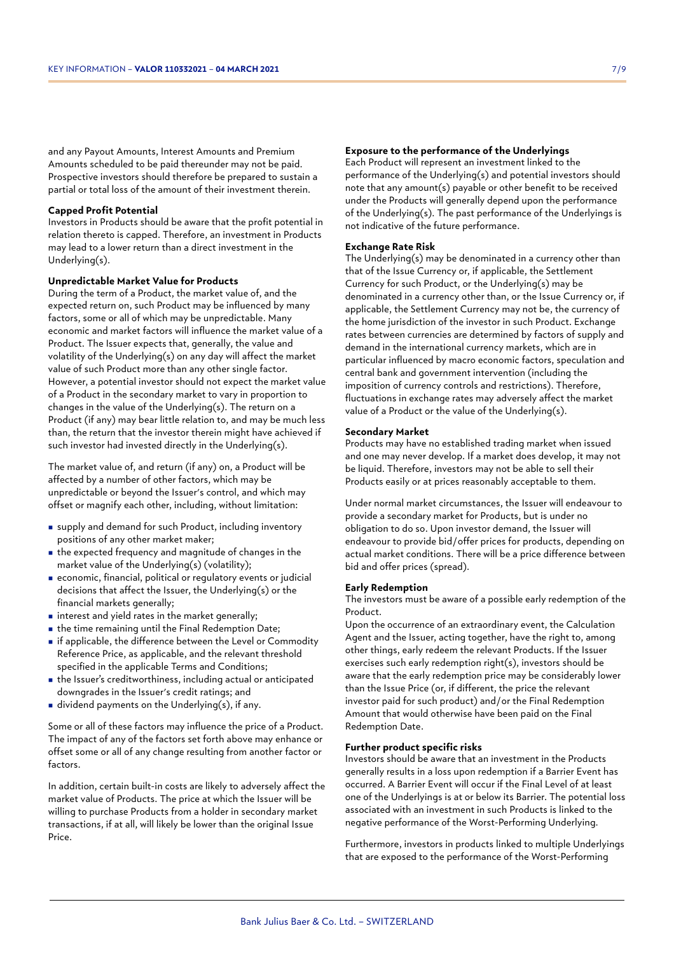and any Payout Amounts, Interest Amounts and Premium Amounts scheduled to be paid thereunder may not be paid. Prospective investors should therefore be prepared to sustain a partial or total loss of the amount of their investment therein.

#### **Capped Profit Potential**

Investors in Products should be aware that the profit potential in relation thereto is capped. Therefore, an investment in Products may lead to a lower return than a direct investment in the Underlying(s).

#### **Unpredictable Market Value for Products**

During the term of a Product, the market value of, and the expected return on, such Product may be influenced by many factors, some or all of which may be unpredictable. Many economic and market factors will influence the market value of a Product. The Issuer expects that, generally, the value and volatility of the Underlying(s) on any day will affect the market value of such Product more than any other single factor. However, a potential investor should not expect the market value of a Product in the secondary market to vary in proportion to changes in the value of the Underlying(s). The return on a Product (if any) may bear little relation to, and may be much less than, the return that the investor therein might have achieved if such investor had invested directly in the Underlying(s).

The market value of, and return (if any) on, a Product will be affected by a number of other factors, which may be unpredictable or beyond the Issuer's control, and which may offset or magnify each other, including, without limitation:

- <sup>n</sup> supply and demand for such Product, including inventory positions of any other market maker;
- $\blacksquare$  the expected frequency and magnitude of changes in the market value of the Underlying(s) (volatility);
- <sup>n</sup> economic, financial, political or regulatory events or judicial decisions that affect the Issuer, the Underlying(s) or the financial markets generally;
- $\blacksquare$  interest and yield rates in the market generally;
- $\blacksquare$  the time remaining until the Final Redemption Date;
- <sup>n</sup> if applicable, the difference between the Level or Commodity Reference Price, as applicable, and the relevant threshold specified in the applicable Terms and Conditions;
- <sup>n</sup> the Issuer's creditworthiness, including actual or anticipated downgrades in the Issuer's credit ratings; and
- in dividend payments on the Underlying(s), if any.

Some or all of these factors may influence the price of a Product. The impact of any of the factors set forth above may enhance or offset some or all of any change resulting from another factor or factors.

In addition, certain built-in costs are likely to adversely affect the market value of Products. The price at which the Issuer will be willing to purchase Products from a holder in secondary market transactions, if at all, will likely be lower than the original Issue Price.

#### **Exposure to the performance of the Underlyings**

Each Product will represent an investment linked to the performance of the Underlying(s) and potential investors should note that any amount(s) payable or other benefit to be received under the Products will generally depend upon the performance of the Underlying(s). The past performance of the Underlyings is not indicative of the future performance.

#### **Exchange Rate Risk**

The Underlying(s) may be denominated in a currency other than that of the Issue Currency or, if applicable, the Settlement Currency for such Product, or the Underlying(s) may be denominated in a currency other than, or the Issue Currency or, if applicable, the Settlement Currency may not be, the currency of the home jurisdiction of the investor in such Product. Exchange rates between currencies are determined by factors of supply and demand in the international currency markets, which are in particular influenced by macro economic factors, speculation and central bank and government intervention (including the imposition of currency controls and restrictions). Therefore, fluctuations in exchange rates may adversely affect the market value of a Product or the value of the Underlying(s).

#### **Secondary Market**

Products may have no established trading market when issued and one may never develop. If a market does develop, it may not be liquid. Therefore, investors may not be able to sell their Products easily or at prices reasonably acceptable to them.

Under normal market circumstances, the Issuer will endeavour to provide a secondary market for Products, but is under no obligation to do so. Upon investor demand, the Issuer will endeavour to provide bid/offer prices for products, depending on actual market conditions. There will be a price difference between bid and offer prices (spread).

#### **Early Redemption**

The investors must be aware of a possible early redemption of the Product.

Upon the occurrence of an extraordinary event, the Calculation Agent and the Issuer, acting together, have the right to, among other things, early redeem the relevant Products. If the Issuer exercises such early redemption right(s), investors should be aware that the early redemption price may be considerably lower than the Issue Price (or, if different, the price the relevant investor paid for such product) and/or the Final Redemption Amount that would otherwise have been paid on the Final Redemption Date.

#### **Further product specific risks**

Investors should be aware that an investment in the Products generally results in a loss upon redemption if a Barrier Event has occurred. A Barrier Event will occur if the Final Level of at least one of the Underlyings is at or below its Barrier. The potential loss associated with an investment in such Products is linked to the negative performance of the Worst-Performing Underlying.

Furthermore, investors in products linked to multiple Underlyings that are exposed to the performance of the Worst-Performing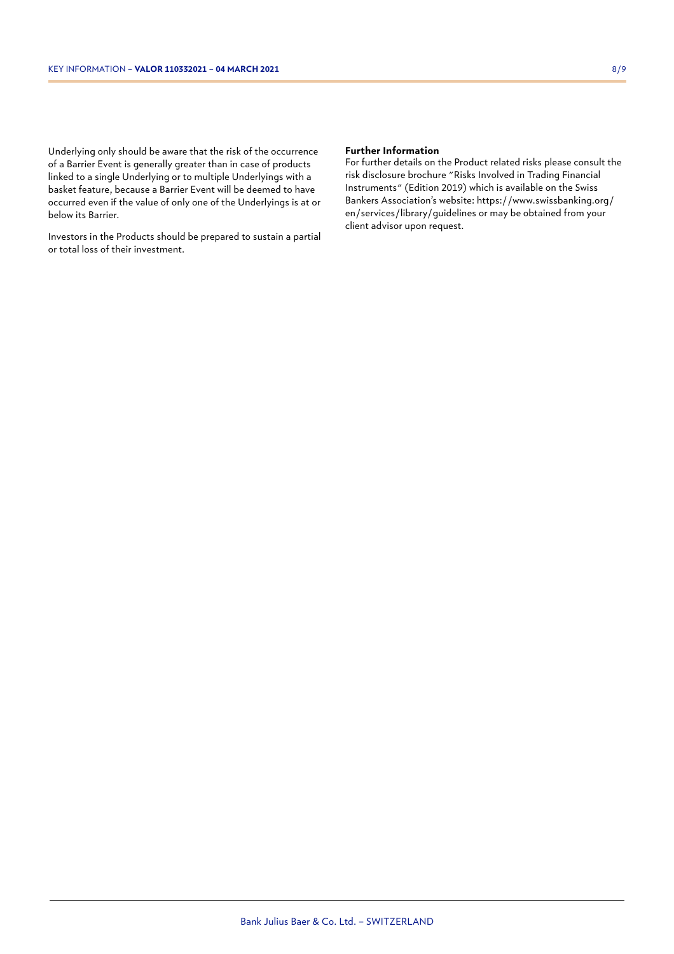Underlying only should be aware that the risk of the occurrence of a Barrier Event is generally greater than in case of products linked to a single Underlying or to multiple Underlyings with a basket feature, because a Barrier Event will be deemed to have occurred even if the value of only one of the Underlyings is at or below its Barrier.

Investors in the Products should be prepared to sustain a partial or total loss of their investment.

#### **Further Information**

For further details on the Product related risks please consult the risk disclosure brochure "Risks Involved in Trading Financial Instruments" (Edition 2019) which is available on the Swiss Bankers Association's website: https://www.swissbanking.org/ en/services/library/guidelines or may be obtained from your client advisor upon request.